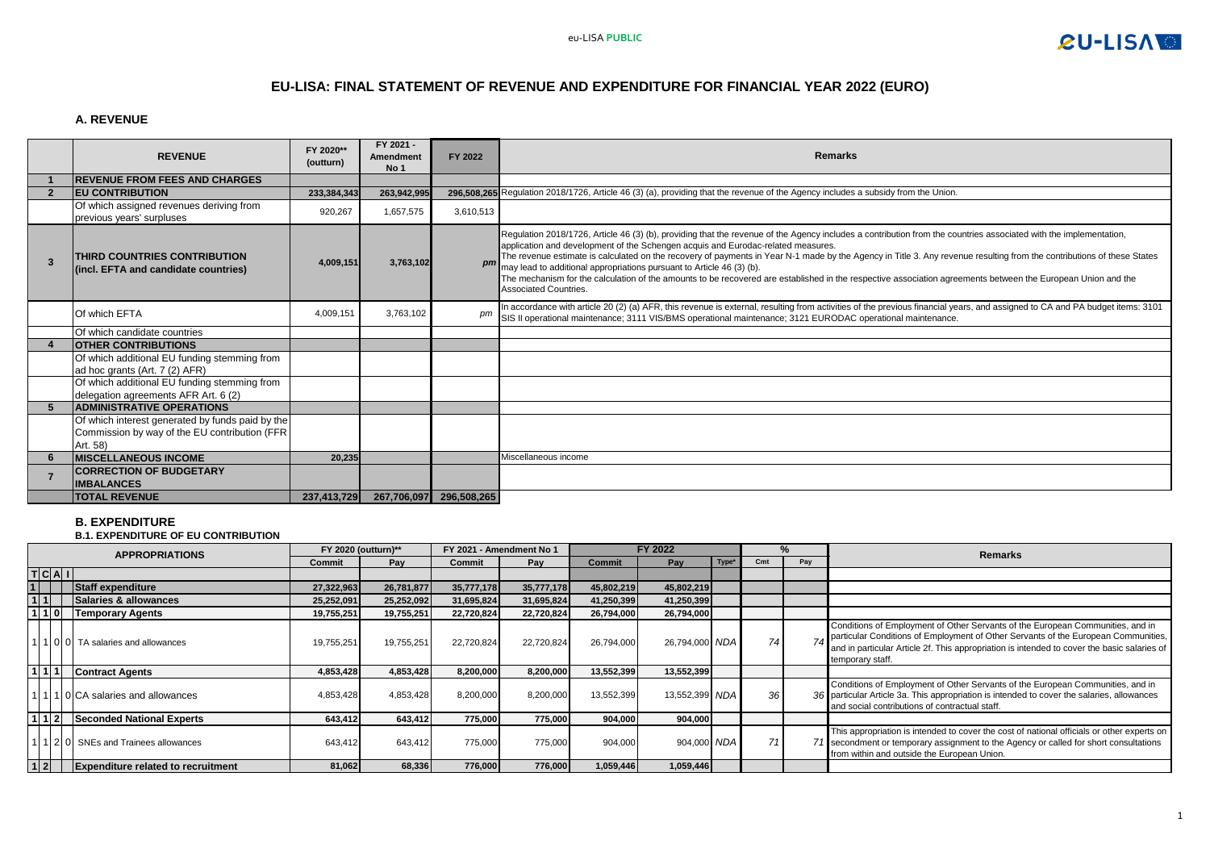

## **EU-LISA: FINAL STATEMENT OF REVENUE AND EXPENDITURE FOR FINANCIAL YEAR 2022 (EURO)**

### **A. REVENUE**

|    | <b>REVENUE</b>                                                                                                 | FY 2020**<br>(outturn) | FY 2021 -<br><b>Amendment</b><br>No 1 | FY 2022                 | <b>Remarks</b>                                                                                                                                                                                                                                                                                                                                                                                                                                                                                                                                                                                                                                                                                       |
|----|----------------------------------------------------------------------------------------------------------------|------------------------|---------------------------------------|-------------------------|------------------------------------------------------------------------------------------------------------------------------------------------------------------------------------------------------------------------------------------------------------------------------------------------------------------------------------------------------------------------------------------------------------------------------------------------------------------------------------------------------------------------------------------------------------------------------------------------------------------------------------------------------------------------------------------------------|
|    | <b>REVENUE FROM FEES AND CHARGES</b>                                                                           |                        |                                       |                         |                                                                                                                                                                                                                                                                                                                                                                                                                                                                                                                                                                                                                                                                                                      |
|    | <b>IEU CONTRIBUTION</b>                                                                                        | 233,384,343            | 263,942,995                           |                         | 296.508.265 Requlation 2018/1726, Article 46 (3) (a), providing that the revenue of the Agency includes a subsidy from the Union.                                                                                                                                                                                                                                                                                                                                                                                                                                                                                                                                                                    |
|    | Of which assigned revenues deriving from<br>previous years' surpluses                                          | 920,267                | 1,657,575                             | 3,610,513               |                                                                                                                                                                                                                                                                                                                                                                                                                                                                                                                                                                                                                                                                                                      |
| 3  | THIRD COUNTRIES CONTRIBUTION<br>(incl. EFTA and candidate countries)                                           | 4,009,151              | 3,763,102                             |                         | Regulation 2018/1726, Article 46 (3) (b), providing that the revenue of the Agency includes a contribution from the countries associated with the implementation,<br>application and development of the Schengen acquis and Eurodac-related measures.<br>The revenue estimate is calculated on the recovery of payments in Year N-1 made by the Agency in Title 3. Any revenue resulting from the contributions of these States<br>pm may lead to additional appropriations pursuant to Article 46 (3) (b).<br>The mechanism for the calculation of the amounts to be recovered are established in the respective association agreements between the European Union and the<br>Associated Countries. |
|    | Of which EFTA                                                                                                  | 4,009,151              | 3.763.102                             | pm                      | In accordance with article 20 (2) (a) AFR, this revenue is external, resulting from activities of the previous financial years, and assigned to CA and PA budget items: 3101<br>SIS II operational maintenance; 3111 VIS/BMS operational maintenance; 3121 EURODAC operational maintenance.                                                                                                                                                                                                                                                                                                                                                                                                          |
|    | Of which candidate countries                                                                                   |                        |                                       |                         |                                                                                                                                                                                                                                                                                                                                                                                                                                                                                                                                                                                                                                                                                                      |
|    | <b>OTHER CONTRIBUTIONS</b>                                                                                     |                        |                                       |                         |                                                                                                                                                                                                                                                                                                                                                                                                                                                                                                                                                                                                                                                                                                      |
|    | Of which additional EU funding stemming from<br>ad hoc grants (Art. 7 (2) AFR)                                 |                        |                                       |                         |                                                                                                                                                                                                                                                                                                                                                                                                                                                                                                                                                                                                                                                                                                      |
|    | Of which additional EU funding stemming from<br>delegation agreements AFR Art. 6 (2)                           |                        |                                       |                         |                                                                                                                                                                                                                                                                                                                                                                                                                                                                                                                                                                                                                                                                                                      |
| 5. | <b>ADMINISTRATIVE OPERATIONS</b>                                                                               |                        |                                       |                         |                                                                                                                                                                                                                                                                                                                                                                                                                                                                                                                                                                                                                                                                                                      |
|    | Of which interest generated by funds paid by the<br>Commission by way of the EU contribution (FFR)<br>Art. 58) |                        |                                       |                         |                                                                                                                                                                                                                                                                                                                                                                                                                                                                                                                                                                                                                                                                                                      |
|    | <b>MISCELLANEOUS INCOME</b>                                                                                    | 20,235                 |                                       |                         | Miscellaneous income                                                                                                                                                                                                                                                                                                                                                                                                                                                                                                                                                                                                                                                                                 |
|    | <b>CORRECTION OF BUDGETARY</b><br><b>IMBALANCES</b>                                                            |                        |                                       |                         |                                                                                                                                                                                                                                                                                                                                                                                                                                                                                                                                                                                                                                                                                                      |
|    | <b>TOTAL REVENUE</b>                                                                                           | 237,413,729            |                                       | 267,706,097 296,508,265 |                                                                                                                                                                                                                                                                                                                                                                                                                                                                                                                                                                                                                                                                                                      |

#### **B. EXPENDITURE**

**B.1. EXPENDITURE OF EU CONTRIBUTION**

|         | <b>APPROPRIATIONS</b>                     |            | <b>FY 2020 (outturn)**</b> |            | FY 2021 - Amendment No 1 |               | FY 2022        |                   |                 | %   | Remarks                                                                                                                                                                                                                                                                                |
|---------|-------------------------------------------|------------|----------------------------|------------|--------------------------|---------------|----------------|-------------------|-----------------|-----|----------------------------------------------------------------------------------------------------------------------------------------------------------------------------------------------------------------------------------------------------------------------------------------|
|         |                                           | Commit     | Pav                        | Commit     | Pav                      | <b>Commit</b> | Pay            | Type <sup>*</sup> | C <sub>mt</sub> | Pay |                                                                                                                                                                                                                                                                                        |
| T C A I |                                           |            |                            |            |                          |               |                |                   |                 |     |                                                                                                                                                                                                                                                                                        |
|         | Staff expenditure                         | 27,322,963 | 26,781,877                 | 35,777,178 | 35,777,178               | 45,802,219    | 45,802,219     |                   |                 |     |                                                                                                                                                                                                                                                                                        |
|         | Salaries & allowances                     | 25,252,091 | 25,252,092                 | 31,695,824 | 31,695,824               | 41,250,399    | 41,250,399     |                   |                 |     |                                                                                                                                                                                                                                                                                        |
| 110     | <b>Temporary Agents</b>                   | 19,755,251 | 19,755,251                 | 22,720,824 | 22,720,824               | 26,794,000    | 26,794,000     |                   |                 |     |                                                                                                                                                                                                                                                                                        |
|         | 11010 TA salaries and allowances          | 19,755,251 | 19,755,251                 | 22,720,824 | 22,720,824               | 26,794,000    | 26,794,000 NDA |                   | 74              |     | Conditions of Employment of Other Servants of the European Communities, and in<br>particular Conditions of Employment of Other Servants of the European Communities,<br>and in particular Article 2f. This appropriation is intended to cover the basic salaries of<br>temporary staff |
|         | <b>Contract Agents</b>                    | 4,853,428  | 4,853,428                  | 8.200.000  | 8,200,000                | 13,552,399    | 13,552,399     |                   |                 |     |                                                                                                                                                                                                                                                                                        |
|         | 1110 CA salaries and allowances           | 4,853,428  | 4,853,428                  | 8,200,000  | 8,200,000                | 13,552,399    | 13,552,399 NDA |                   | 36 <sup>°</sup> |     | Conditions of Employment of Other Servants of the European Communities, and in<br>36 particular Article 3a. This appropriation is intended to cover the salaries, allowances<br>and social contributions of contractual staff.                                                         |
|         | <b>Seconded National Experts</b>          | 643.412    | 643.412                    | 775.000    | 775.000                  | 904.000       | 904.000        |                   |                 |     |                                                                                                                                                                                                                                                                                        |
|         | 1 2 0 SNEs and Trainees allowances        | 643,412    | 643.412                    | 775,000    | 775,000                  | 904.000       | 904.000 NDA    |                   | 71              |     | This appropriation is intended to cover the cost of national officials or other experts on<br>71 secondment or temporary assignment to the Agency or called for short consultations<br>from within and outside the European Union.                                                     |
| 1 2     | <b>Expenditure related to recruitment</b> | 81,062     | 68,336                     | 776,000    | 776,000                  | 1,059,446     | 1,059,446      |                   |                 |     |                                                                                                                                                                                                                                                                                        |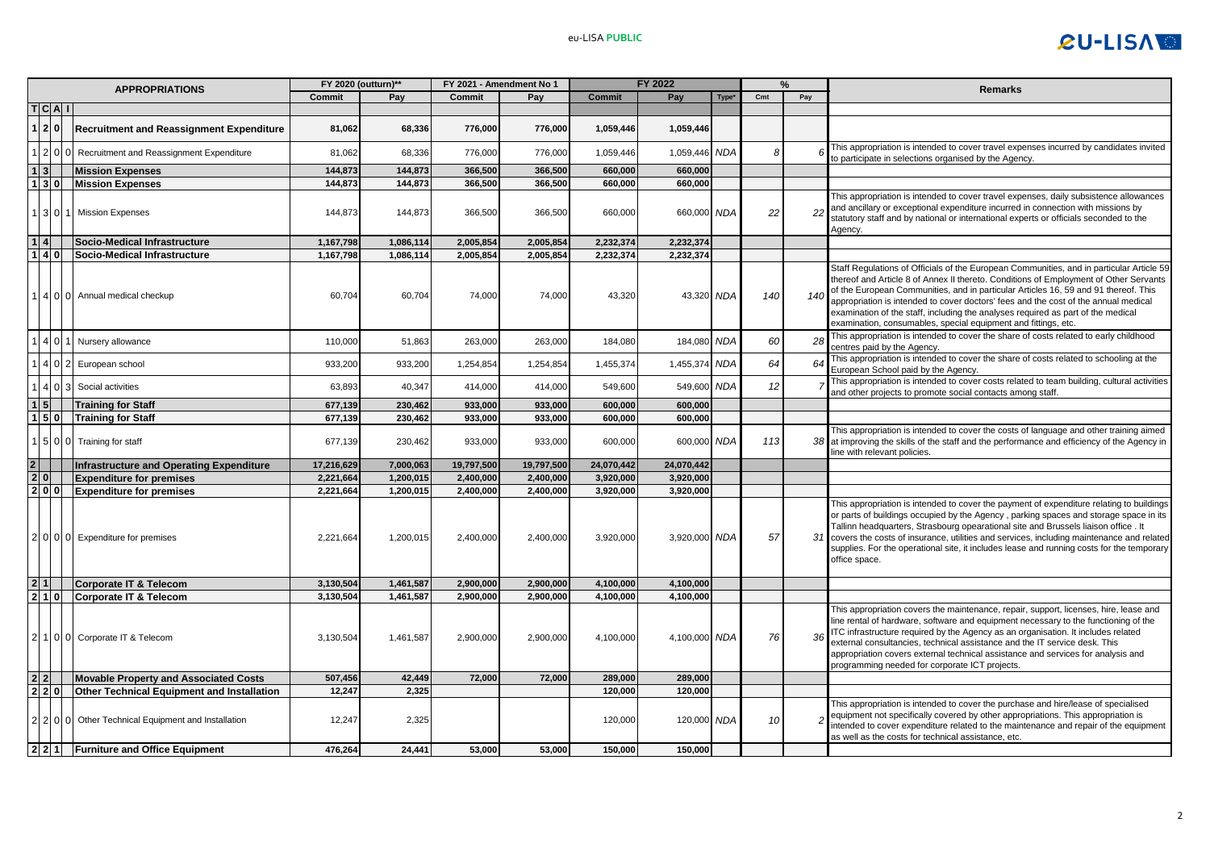

|                         | <b>APPROPRIATIONS</b> |                                                 | FY 2020 (outturn)** |           | FY 2021 - Amendment No 1 |            | FY 2022       |               |            |     | $\%$ | Remarks                                                                                                                                                                                                                                                                                                                                                                                                                                                                                                               |
|-------------------------|-----------------------|-------------------------------------------------|---------------------|-----------|--------------------------|------------|---------------|---------------|------------|-----|------|-----------------------------------------------------------------------------------------------------------------------------------------------------------------------------------------------------------------------------------------------------------------------------------------------------------------------------------------------------------------------------------------------------------------------------------------------------------------------------------------------------------------------|
|                         |                       |                                                 | Commit              | Pay       | Commit                   | Pay        | <b>Commit</b> | Pay           | Type*      | Cmt | Pay  |                                                                                                                                                                                                                                                                                                                                                                                                                                                                                                                       |
|                         | T C A                 |                                                 |                     |           |                          |            |               |               |            |     |      |                                                                                                                                                                                                                                                                                                                                                                                                                                                                                                                       |
|                         | 2 0                   | <b>Recruitment and Reassignment Expenditure</b> | 81,062              | 68,336    | 776,000                  | 776,000    | 1,059,446     | 1,059,446     |            |     |      |                                                                                                                                                                                                                                                                                                                                                                                                                                                                                                                       |
|                         | $2\vert 0$            | Recruitment and Reassignment Expenditure        | 81,062              | 68,336    | 776,000                  | 776,000    | 1,059,446     | 1,059,446 NDA |            |     |      | This appropriation is intended to cover travel expenses incurred by candidates invited<br>to participate in selections organised by the Agency                                                                                                                                                                                                                                                                                                                                                                        |
| 1 3                     |                       | <b>Mission Expenses</b>                         | 144,873             | 144,873   | 366,500                  | 366,500    | 660,000       | 660,000       |            |     |      |                                                                                                                                                                                                                                                                                                                                                                                                                                                                                                                       |
|                         | 130                   | <b>Mission Expenses</b>                         | 144,873             | 144,873   | 366,500                  | 366,500    | 660,000       | 660.000       |            |     |      |                                                                                                                                                                                                                                                                                                                                                                                                                                                                                                                       |
|                         | 3 0                   | <b>Mission Expenses</b>                         | 144,873             | 144,873   | 366,500                  | 366,500    | 660,000       | 660,000 NDA   |            | 22  | 22   | This appropriation is intended to cover travel expenses, daily subsistence allowances<br>and ancillary or exceptional expenditure incurred in connection with missions by<br>statutory staff and by national or international experts or officials seconded to the<br>Agency.                                                                                                                                                                                                                                         |
| $\mathbf{1}$            | 4                     | Socio-Medical Infrastructure                    | 1,167,798           | 1,086,114 | 2,005,854                | 2,005,854  | 2,232,374     | 2,232,374     |            |     |      |                                                                                                                                                                                                                                                                                                                                                                                                                                                                                                                       |
|                         | 1 4 0                 | Socio-Medical Infrastructure                    | 1,167,798           | 1,086,114 | 2,005,854                | 2,005,854  | 2,232,374     | 2,232,374     |            |     |      |                                                                                                                                                                                                                                                                                                                                                                                                                                                                                                                       |
|                         |                       | 4 0 0 Annual medical checkup                    | 60,704              | 60,704    | 74,000                   | 74,000     | 43,320        | 43,320 NDA    |            | 140 | 140  | Staff Regulations of Officials of the European Communities, and in particular Article 59<br>thereof and Article 8 of Annex II thereto. Conditions of Employment of Other Servants<br>of the European Communities, and in particular Articles 16, 59 and 91 thereof. This<br>appropriation is intended to cover doctors' fees and the cost of the annual medical<br>examination of the staff, including the analyses required as part of the medical<br>examination, consumables, special equipment and fittings, etc. |
|                         | 4 O I                 | Nursery allowance                               | 110,000             | 51,863    | 263,000                  | 263,000    | 184,080       | 184,080       | <b>NDA</b> | 60  | 28   | This appropriation is intended to cover the share of costs related to early childhood<br>centres paid by the Agency.                                                                                                                                                                                                                                                                                                                                                                                                  |
|                         | 40                    | European school                                 | 933,200             | 933,200   | 1,254,854                | 1,254,854  | 1,455,374     | 1,455,374     | <b>NDA</b> | 64  | 64   | This appropriation is intended to cover the share of costs related to schooling at the<br>European School paid by the Agency.                                                                                                                                                                                                                                                                                                                                                                                         |
|                         | 4 0                   | Social activities                               | 63,893              | 40,347    | 414,000                  | 414,000    | 549,600       | 549,600 NDA   |            | 12  |      | This appropriation is intended to cover costs related to team building, cultural activities<br>and other projects to promote social contacts among staff.                                                                                                                                                                                                                                                                                                                                                             |
|                         | 5 <sub>1</sub>        | <b>Training for Staff</b>                       | 677,139             | 230,462   | 933,000                  | 933,000    | 600,000       | 600,000       |            |     |      |                                                                                                                                                                                                                                                                                                                                                                                                                                                                                                                       |
|                         | $1 \, 5 \, 0$         | <b>Training for Staff</b>                       | 677,139             | 230.462   | 933.000                  | 933.000    | 600.000       | 600.000       |            |     |      |                                                                                                                                                                                                                                                                                                                                                                                                                                                                                                                       |
|                         | 500                   | Training for staff                              | 677,139             | 230,462   | 933,000                  | 933,000    | 600,000       | 600,000 NDA   |            | 113 |      | This appropriation is intended to cover the costs of language and other training aimed<br>38 at improving the skills of the staff and the performance and efficiency of the Agency in<br>ine with relevant policies.                                                                                                                                                                                                                                                                                                  |
| $\overline{\mathbf{2}}$ |                       | Infrastructure and Operating Expenditure        | 17,216,629          | 7,000,063 | 19,797,500               | 19,797,500 | 24,070,442    | 24,070,442    |            |     |      |                                                                                                                                                                                                                                                                                                                                                                                                                                                                                                                       |
| 2 0                     |                       | <b>Expenditure for premises</b>                 | 2,221,664           | 1,200,015 | 2,400,000                | 2,400,000  | 3,920,000     | 3,920,000     |            |     |      |                                                                                                                                                                                                                                                                                                                                                                                                                                                                                                                       |
|                         | 2 0 0                 | <b>Expenditure for premises</b>                 | 2,221,664           | 1,200,015 | 2,400,000                | 2,400,000  | 3,920,000     | 3,920,000     |            |     |      |                                                                                                                                                                                                                                                                                                                                                                                                                                                                                                                       |
|                         |                       | 2   0   0   0   Expenditure for premises        | 2,221,664           | 1,200,015 | 2,400,000                | 2,400,000  | 3,920,000     | 3,920,000 NDA |            | 57  | 31   | This appropriation is intended to cover the payment of expenditure relating to buildings<br>or parts of buildings occupied by the Agency, parking spaces and storage space in its<br>Tallinn headquarters, Strasbourg opearational site and Brussels liaison office. It<br>covers the costs of insurance, utilities and services, including maintenance and related<br>supplies. For the operational site, it includes lease and running costs for the temporary<br>office space.                                     |
|                         | 2 1                   | Corporate IT & Telecom                          | 3,130,504           | 1,461,587 | 2,900,000                | 2,900,000  | 4,100,000     | 4,100,000     |            |     |      |                                                                                                                                                                                                                                                                                                                                                                                                                                                                                                                       |
|                         | 2 1 0                 | Corporate IT & Telecom                          | 3,130,504           | 1,461,587 | 2,900,000                | 2,900,000  | 4,100,000     | 4,100,000     |            |     |      |                                                                                                                                                                                                                                                                                                                                                                                                                                                                                                                       |
| 2                       | 100                   | Corporate IT & Telecom                          | 3,130,504           | 1,461,587 | 2,900,000                | 2,900,000  | 4,100,000     | 4,100,000 NDA |            | 76  | 36   | This appropriation covers the maintenance, repair, support, licenses, hire, lease and<br>line rental of hardware, software and equipment necessary to the functioning of the<br>ITC infrastructure required by the Agency as an organisation. It includes related<br>external consultancies, technical assistance and the IT service desk. This<br>appropriation covers external technical assistance and services for analysis and<br>programming needed for corporate ICT projects.                                 |
| $\overline{2}$          |                       | <b>Movable Property and Associated Costs</b>    | 507,456             | 42,449    | 72,000                   | 72,000     | 289,000       | 289,000       |            |     |      |                                                                                                                                                                                                                                                                                                                                                                                                                                                                                                                       |
|                         | 2 2 0                 | Other Technical Equipment and Installation      | 12,247              | 2.325     |                          |            | 120,000       | 120,000       |            |     |      |                                                                                                                                                                                                                                                                                                                                                                                                                                                                                                                       |
| 21                      | 200                   | Other Technical Equipment and Installation      | 12,247              | 2,325     |                          |            | 120,000       | 120,000 NDA   |            | 10  |      | This appropriation is intended to cover the purchase and hire/lease of specialised<br>equipment not specifically covered by other appropriations. This appropriation is<br>ntended to cover expenditure related to the maintenance and repair of the equipment<br>as well as the costs for technical assistance, etc.                                                                                                                                                                                                 |
|                         |                       | 2 2 1 Furniture and Office Equipment            | 476,264             | 24.441    | 53.000                   | 53.000     | 150,000       | 150,000       |            |     |      |                                                                                                                                                                                                                                                                                                                                                                                                                                                                                                                       |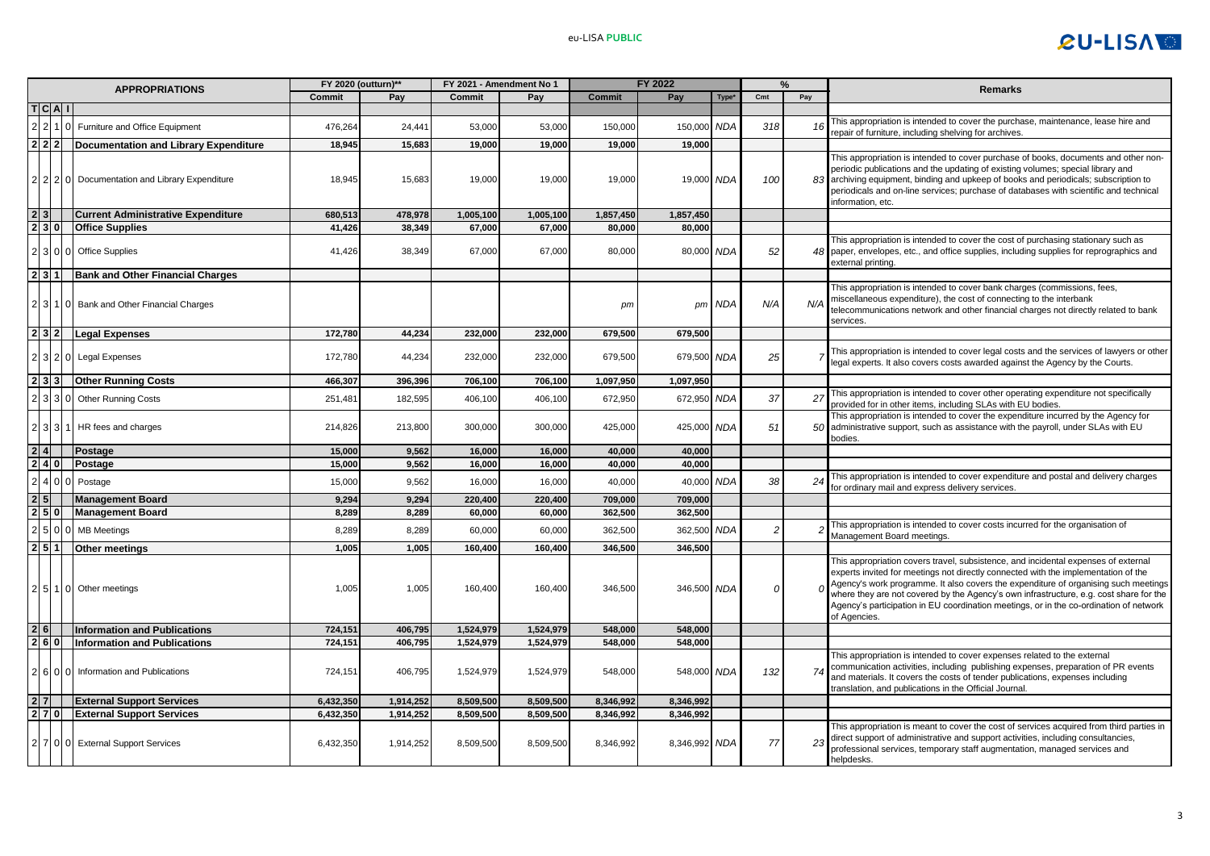

| <b>APPROPRIATIONS</b> |         | FY 2020 (outturn)**                           |           | FY 2021 - Amendment No 1 |           | FY 2022   |               |               | %          |          | Remarks |                                                                                                                                                                                                                                                                                                                                                                                                                                                                     |
|-----------------------|---------|-----------------------------------------------|-----------|--------------------------|-----------|-----------|---------------|---------------|------------|----------|---------|---------------------------------------------------------------------------------------------------------------------------------------------------------------------------------------------------------------------------------------------------------------------------------------------------------------------------------------------------------------------------------------------------------------------------------------------------------------------|
|                       |         |                                               | Commit    | Pay                      | Commit    | Pay       | <b>Commit</b> | Pay           | Type*      | Cmt      | Pay     |                                                                                                                                                                                                                                                                                                                                                                                                                                                                     |
|                       | T C A I |                                               |           |                          |           |           |               |               |            |          |         |                                                                                                                                                                                                                                                                                                                                                                                                                                                                     |
|                       |         | Furniture and Office Equipment                | 476,264   | 24,441                   | 53,000    | 53,000    | 150,000       | 150,000       | <b>NDA</b> | 318      | 16      | This appropriation is intended to cover the purchase, maintenance, lease hire and<br>repair of furniture, including shelving for archives.                                                                                                                                                                                                                                                                                                                          |
|                       | 2 2 2   | Documentation and Library Expenditure         | 18,945    | 15,683                   | 19,000    | 19,000    | 19.000        | 19.000        |            |          |         |                                                                                                                                                                                                                                                                                                                                                                                                                                                                     |
|                       |         | 2 2 2 0 Documentation and Library Expenditure | 18,945    | 15,683                   | 19,000    | 19,000    | 19,000        | 19,000 NDA    |            | 100      | 83      | This appropriation is intended to cover purchase of books, documents and other non-<br>periodic publications and the updating of existing volumes; special library and<br>archiving equipment, binding and upkeep of books and periodicals; subscription to<br>periodicals and on-line services; purchase of databases with scientific and technical<br>nformation, etc.                                                                                            |
| 2 3                   |         | <b>Current Administrative Expenditure</b>     | 680,513   | 478,978                  | 1,005,100 | 1,005,100 | 1,857,450     | 1,857,450     |            |          |         |                                                                                                                                                                                                                                                                                                                                                                                                                                                                     |
| 230                   |         | <b>Office Supplies</b>                        | 41,426    | 38,349                   | 67.000    | 67,000    | 80,000        | 80,000        |            |          |         |                                                                                                                                                                                                                                                                                                                                                                                                                                                                     |
|                       |         | 3 0 0 Office Supplies                         | 41,426    | 38,349                   | 67,000    | 67,000    | 80,000        | 80,000 NDA    |            | 52       |         | This appropriation is intended to cover the cost of purchasing stationary such as<br>48 paper, envelopes, etc., and office supplies, including supplies for reprographics and<br>external printing.                                                                                                                                                                                                                                                                 |
| 2 3 1                 |         | <b>Bank and Other Financial Charges</b>       |           |                          |           |           |               |               |            |          |         |                                                                                                                                                                                                                                                                                                                                                                                                                                                                     |
|                       |         | 3 1 0 Bank and Other Financial Charges        |           |                          |           |           | pm            |               | pm NDA     | N/A      | N/A     | This appropriation is intended to cover bank charges (commissions, fees,<br>miscellaneous expenditure), the cost of connecting to the interbank<br>telecommunications network and other financial charges not directly related to bank<br>services.                                                                                                                                                                                                                 |
|                       |         | 232 Legal Expenses                            | 172,780   | 44,234                   | 232,000   | 232,000   | 679,500       | 679,500       |            |          |         |                                                                                                                                                                                                                                                                                                                                                                                                                                                                     |
|                       |         | 2320 Legal Expenses                           | 172,780   | 44,234                   | 232,000   | 232,000   | 679,500       | 679,500 NDA   |            | 25       |         | This appropriation is intended to cover legal costs and the services of lawyers or other<br>legal experts. It also covers costs awarded against the Agency by the Courts.                                                                                                                                                                                                                                                                                           |
|                       | 2 3 3   | <b>Other Running Costs</b>                    | 466.307   | 396,396                  | 706,100   | 706,100   | 1,097,950     | 1,097,950     |            |          |         |                                                                                                                                                                                                                                                                                                                                                                                                                                                                     |
|                       | 3 3 0   | <b>Other Running Costs</b>                    | 251,481   | 182,595                  | 406,100   | 406,100   | 672,950       | 672,950       | <b>NDA</b> | 37       | 27      | This appropriation is intended to cover other operating expenditure not specifically<br>provided for in other items, including SLAs with EU bodies.                                                                                                                                                                                                                                                                                                                 |
|                       |         | 3 3 1 HR fees and charges                     | 214,826   | 213,800                  | 300,000   | 300,000   | 425,000       | 425,000 NDA   |            | 51       | 50      | This appropriation is intended to cover the expenditure incurred by the Agency for<br>administrative support, such as assistance with the payroll, under SLAs with EU<br>bodies.                                                                                                                                                                                                                                                                                    |
| 2 4                   |         | Postage                                       | 15,000    | 9,562                    | 16,000    | 16,000    | 40,000        | 40,000        |            |          |         |                                                                                                                                                                                                                                                                                                                                                                                                                                                                     |
| 2 4 0                 |         | Postage                                       | 15,000    | 9,562                    | 16,000    | 16,000    | 40,000        | 40,000        |            |          |         |                                                                                                                                                                                                                                                                                                                                                                                                                                                                     |
|                       | 4 I O   | Postage                                       | 15,000    | 9,562                    | 16,000    | 16,000    | 40,000        | 40,000        | <b>NDA</b> | 38       | 24      | This appropriation is intended to cover expenditure and postal and delivery charges<br>for ordinary mail and express delivery services.                                                                                                                                                                                                                                                                                                                             |
| 2 5                   |         | <b>Management Board</b>                       | 9,294     | 9.294                    | 220,400   | 220,400   | 709.000       | 709,000       |            |          |         |                                                                                                                                                                                                                                                                                                                                                                                                                                                                     |
| 2 5 0                 |         | <b>Management Board</b>                       | 8,289     | 8,289                    | 60,000    | 60,000    | 362,500       | 362,500       |            |          |         |                                                                                                                                                                                                                                                                                                                                                                                                                                                                     |
|                       |         | <b>MB Meetings</b>                            | 8,289     | 8,289                    | 60,000    | 60,000    | 362,500       | 362,500 NDA   |            |          |         | This appropriation is intended to cover costs incurred for the organisation of<br>Management Board meetings.                                                                                                                                                                                                                                                                                                                                                        |
| 2 5 1                 |         | <b>Other meetings</b>                         | 1,005     | 1,005                    | 160,400   | 160,400   | 346,500       | 346,500       |            |          |         |                                                                                                                                                                                                                                                                                                                                                                                                                                                                     |
|                       |         | 2 5 1 0 Other meetings                        | 1,005     | 1,005                    | 160,400   | 160,400   | 346,500       | 346,500 NDA   |            | $\Omega$ |         | This appropriation covers travel, subsistence, and incidental expenses of external<br>experts invited for meetings not directly connected with the implementation of the<br>Agency's work programme. It also covers the expenditure of organising such meetings<br>where they are not covered by the Agency's own infrastructure, e.g. cost share for the<br>Agency's participation in EU coordination meetings, or in the co-ordination of network<br>of Agencies. |
| 2 6                   |         | <b>Information and Publications</b>           | 724,151   | 406,795                  | 1,524,979 | 1,524,979 | 548,000       | 548,000       |            |          |         |                                                                                                                                                                                                                                                                                                                                                                                                                                                                     |
| 2 6 0                 |         | <b>Information and Publications</b>           | 724,151   | 406,795                  | 1,524,979 | 1,524,979 | 548,000       | 548,000       |            |          |         |                                                                                                                                                                                                                                                                                                                                                                                                                                                                     |
|                       |         | 2 6 0 0 1 Information and Publications        | 724,151   | 406,795                  | 1,524,979 | 1,524,979 | 548,000       | 548,000 NDA   |            | 132      | 74      | This appropriation is intended to cover expenses related to the external<br>communication activities, including publishing expenses, preparation of PR events<br>and materials. It covers the costs of tender publications, expenses including<br>translation, and publications in the Official Journal                                                                                                                                                             |
| 2 7                   |         | <b>External Support Services</b>              | 6,432,350 | 1,914,252                | 8,509,500 | 8,509,500 | 8.346.992     | 8,346,992     |            |          |         |                                                                                                                                                                                                                                                                                                                                                                                                                                                                     |
| 2 7 0                 |         | <b>External Support Services</b>              | 6,432,350 | 1,914,252                | 8,509,500 | 8,509,500 | 8,346,992     | 8,346,992     |            |          |         |                                                                                                                                                                                                                                                                                                                                                                                                                                                                     |
|                       |         | 2 7 0 0 External Support Services             | 6,432,350 | 1,914,252                | 8,509,500 | 8,509,500 | 8,346,992     | 8,346,992 NDA |            | 77       |         | This appropriation is meant to cover the cost of services acquired from third parties in<br>direct support of administrative and support activities, including consultancies,<br>professional services, temporary staff augmentation, managed services and<br>helpdesks.                                                                                                                                                                                            |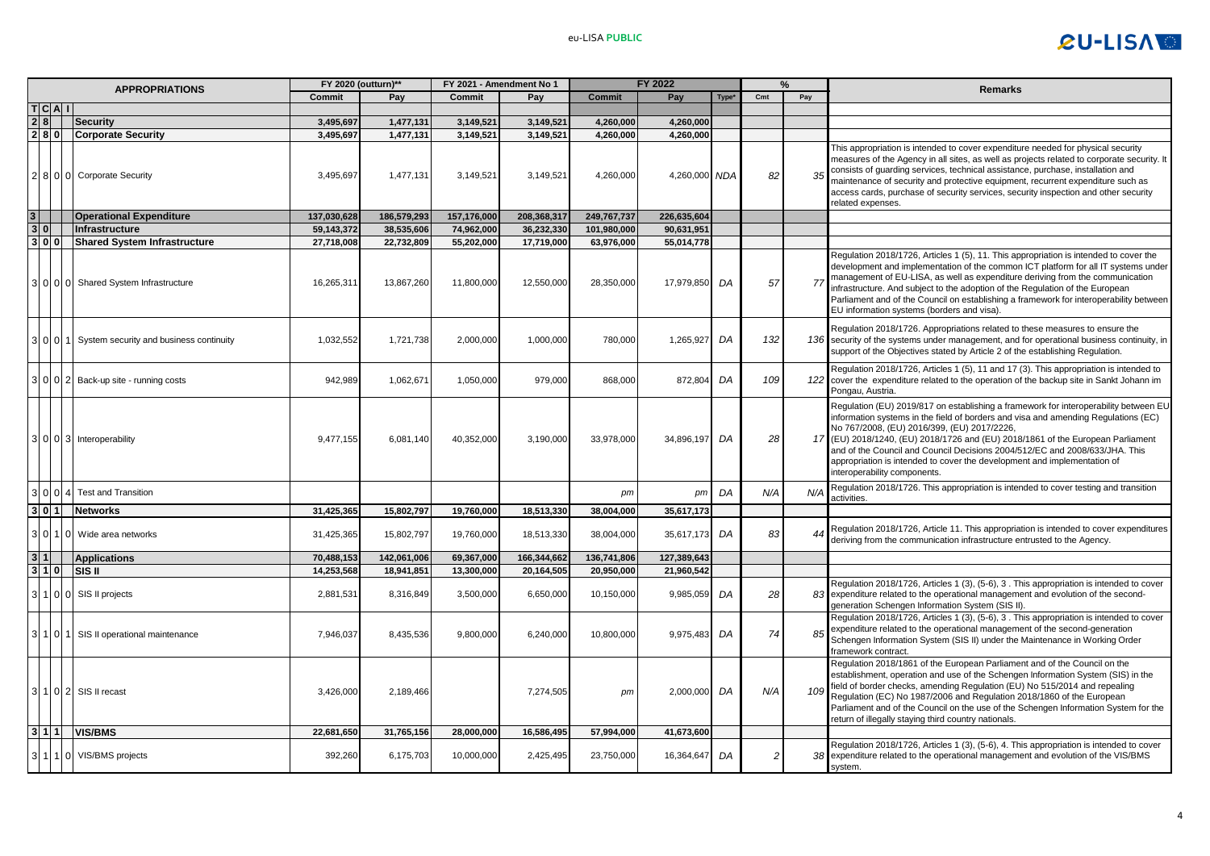

|                | <b>APPROPRIATIONS</b> |                                         | FY 2020 (outturn)**<br>FY 2021 - Amendment No 1 |             |               |             | FY 2022       |               |       |     | %                      | <b>Remarks</b>                                                                                                                                                                                                                                                                                                                                                                                                                                                                                       |
|----------------|-----------------------|-----------------------------------------|-------------------------------------------------|-------------|---------------|-------------|---------------|---------------|-------|-----|------------------------|------------------------------------------------------------------------------------------------------------------------------------------------------------------------------------------------------------------------------------------------------------------------------------------------------------------------------------------------------------------------------------------------------------------------------------------------------------------------------------------------------|
|                |                       |                                         | Commit                                          | Pay         | <b>Commit</b> | Pay         | <b>Commit</b> | Pay           | Type* | Cmt | Pay                    |                                                                                                                                                                                                                                                                                                                                                                                                                                                                                                      |
|                | TCAI                  |                                         |                                                 |             |               |             |               |               |       |     |                        |                                                                                                                                                                                                                                                                                                                                                                                                                                                                                                      |
| 2 8            |                       | Security                                | 3,495,697                                       | 1,477,131   | 3,149,521     | 3,149,521   | 4,260,000     | 4,260,000     |       |     |                        |                                                                                                                                                                                                                                                                                                                                                                                                                                                                                                      |
|                |                       | 2 8 0 Corporate Security                | 3,495,697                                       | 1,477,131   | 3,149,521     | 3,149,521   | 4,260,000     | 4,260,000     |       |     |                        |                                                                                                                                                                                                                                                                                                                                                                                                                                                                                                      |
|                |                       | 8 0 0 Corporate Security                | 3,495,697                                       | 1,477,131   | 3,149,521     | 3,149,521   | 4,260,000     | 4,260,000 NDA |       | 82  | 35                     | This appropriation is intended to cover expenditure needed for physical security<br>measures of the Agency in all sites, as well as projects related to corporate security. It<br>consists of guarding services, technical assistance, purchase, installation and<br>maintenance of security and protective equipment, recurrent expenditure such as<br>access cards, purchase of security services, security inspection and other security<br>related expenses.                                     |
| 3 <sup>1</sup> |                       | <b>Operational Expenditure</b>          | 137,030,628                                     | 186,579,293 | 157,176,000   | 208,368,317 | 249,767,737   | 226,635,604   |       |     |                        |                                                                                                                                                                                                                                                                                                                                                                                                                                                                                                      |
| 3 0            |                       | Infrastructure                          | 59,143,372                                      | 38,535,606  | 74,962,000    | 36,232,330  | 101,980,000   | 90,631,951    |       |     |                        |                                                                                                                                                                                                                                                                                                                                                                                                                                                                                                      |
|                | 3 0 0                 | <b>Shared System Infrastructure</b>     | 27,718,008                                      | 22,732,809  | 55,202,000    | 17,719,000  | 63,976,000    | 55,014,778    |       |     |                        |                                                                                                                                                                                                                                                                                                                                                                                                                                                                                                      |
|                |                       | 3 0 0 0 0 Shared System Infrastructure  | 16,265,311                                      | 13,867,260  | 11,800,000    | 12,550,000  | 28,350,000    | 17,979,850    | DA    | 57  | 77                     | Regulation 2018/1726, Articles 1 (5), 11. This appropriation is intended to cover the<br>development and implementation of the common ICT platform for all IT systems under<br>management of EU-LISA, as well as expenditure deriving from the communication<br>infrastructure. And subject to the adoption of the Regulation of the European<br>Parliament and of the Council on establishing a framework for interoperability between<br>EU information systems (borders and visa).                |
|                | 010                   | System security and business continuity | 1,032,552                                       | 1,721,738   | 2,000,000     | 1,000,000   | 780,000       | 1,265,927     | DA    | 132 |                        | Regulation 2018/1726. Appropriations related to these measures to ensure the<br>136 security of the systems under management, and for operational business continuity, in<br>support of the Objectives stated by Article 2 of the establishing Regulation.                                                                                                                                                                                                                                           |
|                |                       | Back-up site - running costs            | 942.989                                         | 1,062,67    | 1,050,000     | 979.000     | 868,000       | 872.804       | DA    | 109 | 122                    | Regulation 2018/1726, Articles 1 (5), 11 and 17 (3). This appropriation is intended to<br>cover the expenditure related to the operation of the backup site in Sankt Johann im<br>Pongau, Austria.                                                                                                                                                                                                                                                                                                   |
|                |                       | 30003 Interoperability                  | 9,477,155                                       | 6,081,140   | 40,352,000    | 3,190,000   | 33,978,000    | 34,896,197    | DA    | 28  | 17                     | Regulation (EU) 2019/817 on establishing a framework for interoperability between EU<br>information systems in the field of borders and visa and amending Regulations (EC)<br>No 767/2008, (EU) 2016/399, (EU) 2017/2226,<br>(EU) 2018/1240, (EU) 2018/1726 and (EU) 2018/1861 of the European Parliament<br>and of the Council and Council Decisions 2004/512/EC and 2008/633/JHA. This<br>appropriation is intended to cover the development and implementation of<br>interoperability components. |
|                |                       | <b>Test and Transition</b>              |                                                 |             |               |             | pm            | pm            | DA    | N/A | N/4                    | Regulation 2018/1726. This appropriation is intended to cover testing and transition<br>activities.                                                                                                                                                                                                                                                                                                                                                                                                  |
|                | 3 0 1                 | <b>Networks</b>                         | 31,425,365                                      | 15,802,797  | 19,760,000    | 18,513,330  | 38,004,000    | 35,617,173    |       |     |                        |                                                                                                                                                                                                                                                                                                                                                                                                                                                                                                      |
|                | 31011101              | Wide area networks                      | 31,425,365                                      | 15,802,797  | 19,760,000    | 18,513,330  | 38,004,000    | 35,617,173 DA |       | 83  | $\boldsymbol{\Lambda}$ | Regulation 2018/1726, Article 11. This appropriation is intended to cover expenditures<br>deriving from the communication infrastructure entrusted to the Agency.                                                                                                                                                                                                                                                                                                                                    |
| 3 1            |                       | Applications                            | 70,488,153                                      | 142,061,006 | 69,367,000    | 166,344,662 | 136,741,806   | 127,389,643   |       |     |                        |                                                                                                                                                                                                                                                                                                                                                                                                                                                                                                      |
| 3 1 0          |                       | <b>SIS II</b>                           | 14,253,568                                      | 18,941,851  | 13,300,000    | 20,164,505  | 20,950,000    | 21,960,542    |       |     |                        |                                                                                                                                                                                                                                                                                                                                                                                                                                                                                                      |
|                |                       | 1 0 0 SIS II projects                   | 2,881,531                                       | 8,316,849   | 3,500,000     | 6,650,000   | 10,150,000    | 9,985,059     | DA    | 28  | 83                     | Regulation 2018/1726, Articles 1 (3), (5-6), 3. This appropriation is intended to cover<br>expenditure related to the operational management and evolution of the second-<br>generation Schengen Information System (SIS II).                                                                                                                                                                                                                                                                        |
|                | 311011                | SIS II operational maintenance          | 7,946,037                                       | 8,435,536   | 9,800,000     | 6,240,000   | 10,800,000    | 9,975,483     | DA    | 74  | 85                     | Regulation 2018/1726, Articles 1 (3), (5-6), 3. This appropriation is intended to cover<br>expenditure related to the operational management of the second-generation<br>Schengen Information System (SIS II) under the Maintenance in Working Order<br>framework contract.                                                                                                                                                                                                                          |
|                |                       | 102 SIS II recast                       | 3,426,000                                       | 2,189,466   |               | 7,274,505   | pm            | 2,000,000     | DA    | N/A | 10S                    | Regulation 2018/1861 of the European Parliament and of the Council on the<br>establishment, operation and use of the Schengen Information System (SIS) in the<br>field of border checks, amending Regulation (EU) No 515/2014 and repealing<br>Regulation (EC) No 1987/2006 and Regulation 2018/1860 of the European<br>Parliament and of the Council on the use of the Schengen Information System for the<br>return of illegally staying third country nationals.                                  |
|                | 3 1 1                 | <b>VIS/BMS</b>                          | 22,681,650                                      | 31,765,156  | 28,000,000    | 16,586,495  | 57,994,000    | 41,673,600    |       |     |                        |                                                                                                                                                                                                                                                                                                                                                                                                                                                                                                      |
|                | $110$                 | VIS/BMS projects                        | 392,260                                         | 6,175,703   | 10,000,000    | 2,425,495   | 23,750,000    | 16,364,647    | DA    | 2   |                        | Regulation 2018/1726, Articles 1 (3), (5-6), 4. This appropriation is intended to cover<br>38 expenditure related to the operational management and evolution of the VIS/BMS<br>system.                                                                                                                                                                                                                                                                                                              |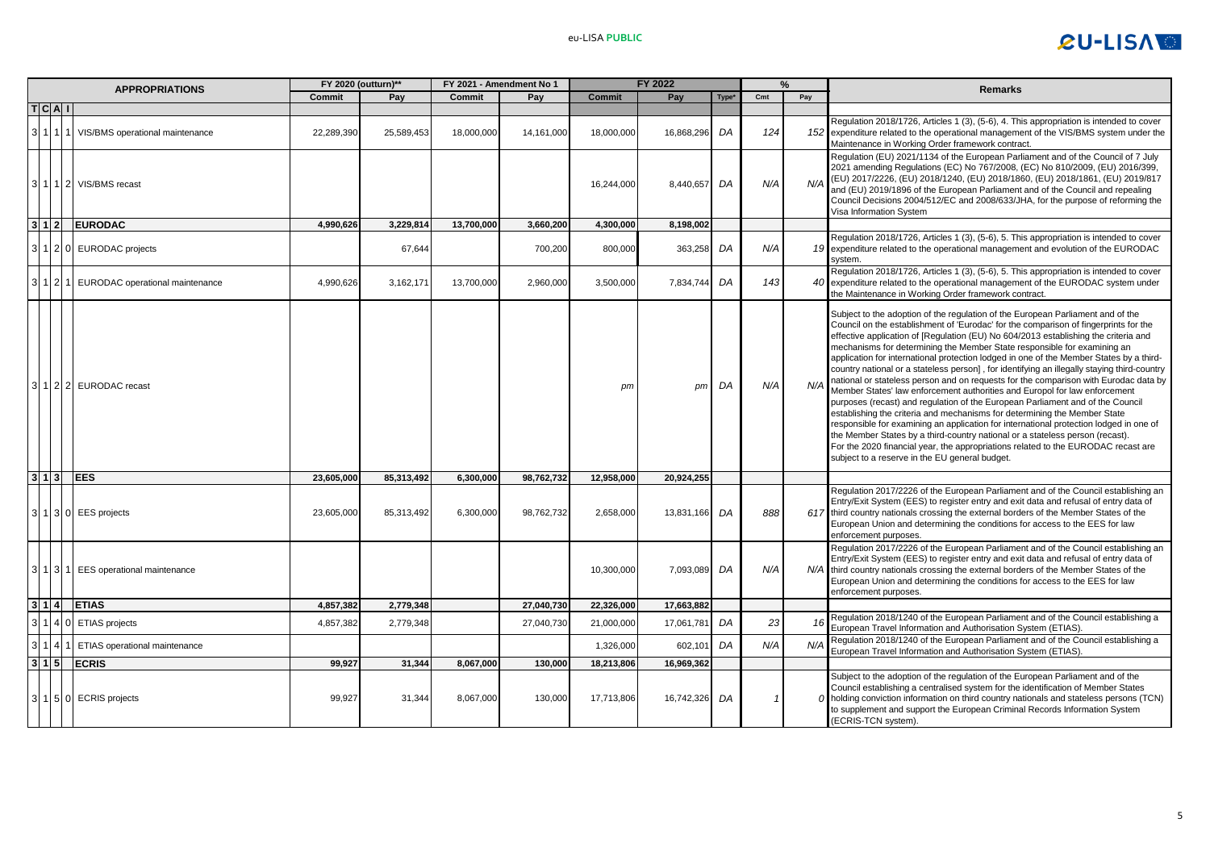# **CU-LISATE**

|                   | <b>APPROPRIATIONS</b>                           | FY 2020 (outturn)** |            | FY 2021 - Amendment No 1 |            |               | <b>FY 2022</b> |      |     |     | <b>Remarks</b>                                                                                                                                                                                                                                                                                                                                                                                                                                                                                                                                                                                                                                                                                                                                                                                                                                                                                                                                                                                                                                                                                                                                                                              |
|-------------------|-------------------------------------------------|---------------------|------------|--------------------------|------------|---------------|----------------|------|-----|-----|---------------------------------------------------------------------------------------------------------------------------------------------------------------------------------------------------------------------------------------------------------------------------------------------------------------------------------------------------------------------------------------------------------------------------------------------------------------------------------------------------------------------------------------------------------------------------------------------------------------------------------------------------------------------------------------------------------------------------------------------------------------------------------------------------------------------------------------------------------------------------------------------------------------------------------------------------------------------------------------------------------------------------------------------------------------------------------------------------------------------------------------------------------------------------------------------|
|                   |                                                 | Commit              | Pay        | Commit                   | Pay        | <b>Commit</b> | Pay            | Type | Cmt | Pay |                                                                                                                                                                                                                                                                                                                                                                                                                                                                                                                                                                                                                                                                                                                                                                                                                                                                                                                                                                                                                                                                                                                                                                                             |
| T C A T           |                                                 |                     |            |                          |            |               |                |      |     |     |                                                                                                                                                                                                                                                                                                                                                                                                                                                                                                                                                                                                                                                                                                                                                                                                                                                                                                                                                                                                                                                                                                                                                                                             |
|                   | 1   1   1   VIS/BMS operational maintenance     | 22,289,390          | 25,589,453 | 18,000,000               | 14,161,000 | 18,000,000    | 16,868,296     | DA   | 124 |     | Regulation 2018/1726, Articles 1 (3), (5-6), 4. This appropriation is intended to cover<br>152 expenditure related to the operational management of the VIS/BMS system under the<br>Maintenance in Working Order framework contract.                                                                                                                                                                                                                                                                                                                                                                                                                                                                                                                                                                                                                                                                                                                                                                                                                                                                                                                                                        |
|                   | 3   1   1   2   VIS/BMS recast                  |                     |            |                          |            | 16,244,000    | 8,440,657      | DA   | N/A | N/A | Regulation (EU) 2021/1134 of the European Parliament and of the Council of 7 July<br>2021 amending Regulations (EC) No 767/2008, (EC) No 810/2009, (EU) 2016/399,<br>(EU) 2017/2226, (EU) 2018/1240, (EU) 2018/1860, (EU) 2018/1861, (EU) 2019/817<br>and (EU) 2019/1896 of the European Parliament and of the Council and repealing<br>Council Decisions 2004/512/EC and 2008/633/JHA, for the purpose of reforming the<br>Visa Information System                                                                                                                                                                                                                                                                                                                                                                                                                                                                                                                                                                                                                                                                                                                                         |
| 3 1 2             | <b>EURODAC</b>                                  | 4,990,626           | 3,229,814  | 13,700,000               | 3,660,200  | 4,300,000     | 8,198,002      |      |     |     |                                                                                                                                                                                                                                                                                                                                                                                                                                                                                                                                                                                                                                                                                                                                                                                                                                                                                                                                                                                                                                                                                                                                                                                             |
|                   | 3 1 2 0 EURODAC projects                        |                     | 67,644     |                          | 700,200    | 800,000       | 363,258        | DA   | N/A |     | Regulation 2018/1726, Articles 1 (3), (5-6), 5. This appropriation is intended to cover<br>19 expenditure related to the operational management and evolution of the EURODAC<br>system                                                                                                                                                                                                                                                                                                                                                                                                                                                                                                                                                                                                                                                                                                                                                                                                                                                                                                                                                                                                      |
|                   | 3   1   2   1   EURODAC operational maintenance | 4,990,626           | 3,162,171  | 13,700,000               | 2,960,000  | 3,500,000     | 7,834,744      | DA   | 143 |     | Regulation 2018/1726, Articles 1 (3), (5-6), 5. This appropriation is intended to cover<br>40 expenditure related to the operational management of the EURODAC system under<br>the Maintenance in Working Order framework contract.                                                                                                                                                                                                                                                                                                                                                                                                                                                                                                                                                                                                                                                                                                                                                                                                                                                                                                                                                         |
|                   | 3   1   2   2   EURODAC recast                  |                     |            |                          |            | pm            | pm             | DA   | N/A | N/A | Subject to the adoption of the regulation of the European Parliament and of the<br>Council on the establishment of 'Eurodac' for the comparison of fingerprints for the<br>effective application of [Regulation (EU) No 604/2013 establishing the criteria and<br>mechanisms for determining the Member State responsible for examining an<br>application for international protection lodged in one of the Member States by a third-<br>country national or a stateless person], for identifying an illegally staying third-country<br>national or stateless person and on requests for the comparison with Eurodac data by<br>Member States' law enforcement authorities and Europol for law enforcement<br>purposes (recast) and regulation of the European Parliament and of the Council<br>establishing the criteria and mechanisms for determining the Member State<br>responsible for examining an application for international protection lodged in one of<br>the Member States by a third-country national or a stateless person (recast).<br>For the 2020 financial year, the appropriations related to the EURODAC recast are<br>subject to a reserve in the EU general budget. |
| 3 1 3             | <b>EES</b>                                      | 23,605,000          | 85,313,492 | 6,300,000                | 98,762,732 | 12,958,000    | 20.924.255     |      |     |     |                                                                                                                                                                                                                                                                                                                                                                                                                                                                                                                                                                                                                                                                                                                                                                                                                                                                                                                                                                                                                                                                                                                                                                                             |
|                   | 3 1 3 0 EES projects                            | 23,605,000          | 85,313,492 | 6,300,000                | 98,762,732 | 2,658,000     | 13,831,166     | DA   | 888 |     | Regulation 2017/2226 of the European Parliament and of the Council establishing an<br>Entry/Exit System (EES) to register entry and exit data and refusal of entry data of<br>617 third country nationals crossing the external borders of the Member States of the<br>European Union and determining the conditions for access to the EES for law<br>enforcement purposes.                                                                                                                                                                                                                                                                                                                                                                                                                                                                                                                                                                                                                                                                                                                                                                                                                 |
|                   | 3   1   3   1   EES operational maintenance     |                     |            |                          |            | 10,300,000    | 7,093,089      | DA   | N/A |     | Regulation 2017/2226 of the European Parliament and of the Council establishing an<br>Entry/Exit System (EES) to register entry and exit data and refusal of entry data of<br>N/A third country nationals crossing the external borders of the Member States of the<br>European Union and determining the conditions for access to the EES for law<br>enforcement purposes.                                                                                                                                                                                                                                                                                                                                                                                                                                                                                                                                                                                                                                                                                                                                                                                                                 |
| 3 1 4             | <b>ETIAS</b>                                    | 4,857,382           | 2,779,348  |                          | 27,040,730 | 22,326,000    | 17,663,882     |      |     |     |                                                                                                                                                                                                                                                                                                                                                                                                                                                                                                                                                                                                                                                                                                                                                                                                                                                                                                                                                                                                                                                                                                                                                                                             |
| 314               | <b>ETIAS</b> projects                           | 4,857,382           | 2,779,348  |                          | 27,040,730 | 21,000,000    | 17,061,781     | DA   | 23  | 16  | Regulation 2018/1240 of the European Parliament and of the Council establishing a<br>European Travel Information and Authorisation System (ETIAS).                                                                                                                                                                                                                                                                                                                                                                                                                                                                                                                                                                                                                                                                                                                                                                                                                                                                                                                                                                                                                                          |
| 314               | ETIAS operational maintenance                   |                     |            |                          |            | 1,326,000     | 602,101        | DA   | N/A | N/A | Regulation 2018/1240 of the European Parliament and of the Council establishing a<br>European Travel Information and Authorisation System (ETIAS).                                                                                                                                                                                                                                                                                                                                                                                                                                                                                                                                                                                                                                                                                                                                                                                                                                                                                                                                                                                                                                          |
| $3 \mid 1 \mid 5$ | <b>ECRIS</b>                                    | 99.927              | 31.344     | 8,067,000                | 130,000    | 18,213,806    | 16,969,362     |      |     |     |                                                                                                                                                                                                                                                                                                                                                                                                                                                                                                                                                                                                                                                                                                                                                                                                                                                                                                                                                                                                                                                                                                                                                                                             |
|                   | 3 1 5 0 ECRIS projects                          | 99,927              | 31.344     | 8,067,000                | 130,000    | 17,713,806    | 16,742,326     | DA   |     |     | Subject to the adoption of the regulation of the European Parliament and of the<br>Council establishing a centralised system for the identification of Member States<br>$O$ holding conviction information on third country nationals and stateless persons (TCN)<br>to supplement and support the European Criminal Records Information System<br>(ECRIS-TCN system).                                                                                                                                                                                                                                                                                                                                                                                                                                                                                                                                                                                                                                                                                                                                                                                                                      |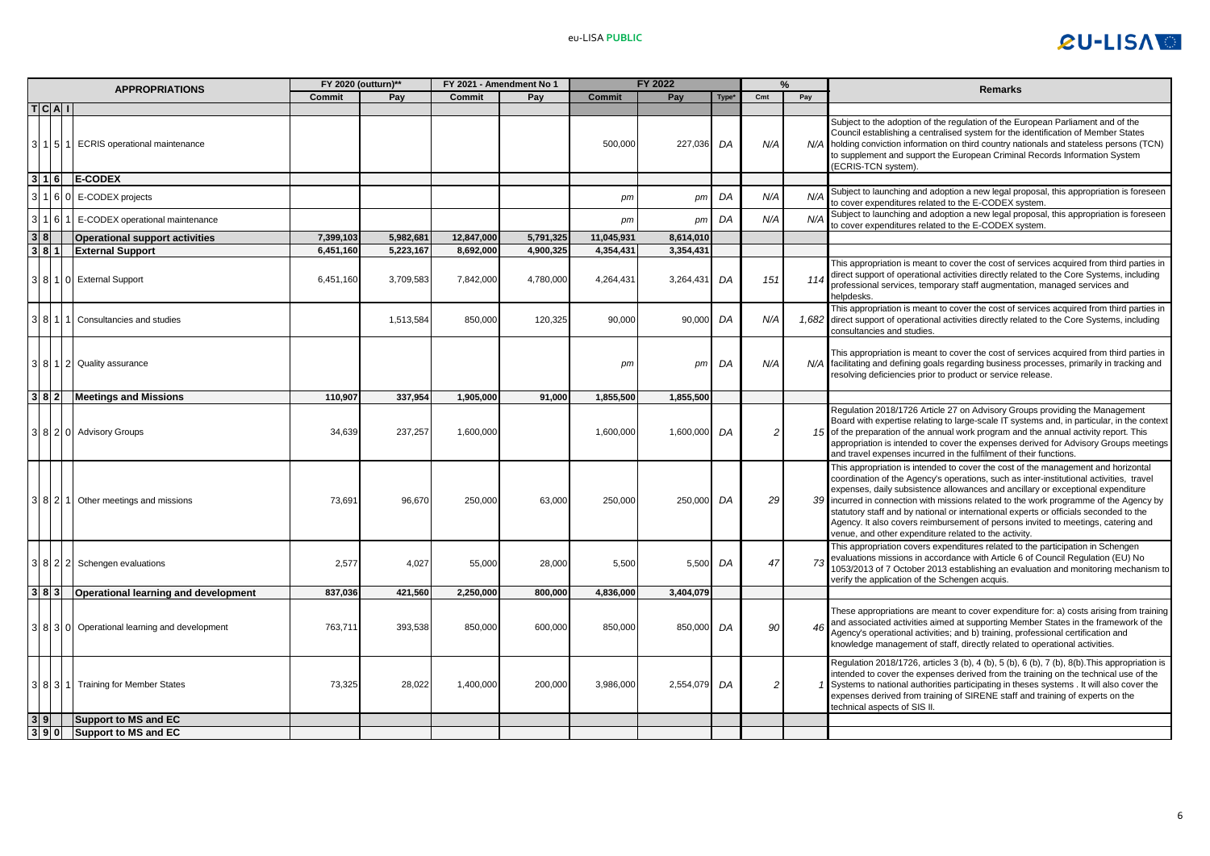

| <b>APPROPRIATIONS</b> |         | <b>FY 2020 (outturn)*</b>                    |           |           | FY 2021 - Amendment No 1 |           | FY 2022       |           |                   | ℆             | Remarks |                                                                                                                                                                                                                                                                                                                                                                                                                                                                                                                                                                                               |
|-----------------------|---------|----------------------------------------------|-----------|-----------|--------------------------|-----------|---------------|-----------|-------------------|---------------|---------|-----------------------------------------------------------------------------------------------------------------------------------------------------------------------------------------------------------------------------------------------------------------------------------------------------------------------------------------------------------------------------------------------------------------------------------------------------------------------------------------------------------------------------------------------------------------------------------------------|
|                       |         |                                              | Commit    | Pay       | <b>Commit</b>            | Pav       | <b>Commit</b> | Pay       | Type <sup>*</sup> | Cmt           | Pay     |                                                                                                                                                                                                                                                                                                                                                                                                                                                                                                                                                                                               |
|                       | T C A I | 11511 ECRIS operational maintenance          |           |           |                          |           | 500.000       | 227.036   | DA                | N/A           |         | Subject to the adoption of the regulation of the European Parliament and of the<br>Council establishing a centralised system for the identification of Member States<br>N/A holding conviction information on third country nationals and stateless persons (TCN)<br>to supplement and support the European Criminal Records Information System<br>(ECRIS-TCN system).                                                                                                                                                                                                                        |
|                       | 3 1 6   | <b>E-CODEX</b>                               |           |           |                          |           |               |           |                   |               |         |                                                                                                                                                                                                                                                                                                                                                                                                                                                                                                                                                                                               |
|                       | 160     | E-CODEX projects                             |           |           |                          |           | pm            | pm        | DA                | N/A           | N/A     | Subject to launching and adoption a new legal proposal, this appropriation is foreseen<br>to cover expenditures related to the E-CODEX system.                                                                                                                                                                                                                                                                                                                                                                                                                                                |
|                       | 1 6     | E-CODEX operational maintenance              |           |           |                          |           | pm            | pm        | DA                | N/A           | N/A     | Subject to launching and adoption a new legal proposal, this appropriation is foreseen<br>to cover expenditures related to the E-CODEX system.                                                                                                                                                                                                                                                                                                                                                                                                                                                |
| 3 8                   |         | <b>Operational support activities</b>        | 7,399,103 | 5,982,681 | 12,847,000               | 5,791,325 | 11,045,931    | 8,614,010 |                   |               |         |                                                                                                                                                                                                                                                                                                                                                                                                                                                                                                                                                                                               |
|                       | 3 8 1   | <b>External Support</b>                      | 6,451,160 | 5,223,167 | 8,692,000                | 4.900.325 | 4,354,431     | 3,354,431 |                   |               |         |                                                                                                                                                                                                                                                                                                                                                                                                                                                                                                                                                                                               |
|                       |         | 8 1 0 External Support                       | 6,451,160 | 3,709,583 | 7,842,000                | 4,780,000 | 4,264,431     | 3,264,431 | DA                | 151           | 114     | This appropriation is meant to cover the cost of services acquired from third parties in<br>direct support of operational activities directly related to the Core Systems, including<br>professional services, temporary staff augmentation, managed services and<br>helpdesks.                                                                                                                                                                                                                                                                                                               |
|                       |         | Consultancies and studies                    |           | 1,513,584 | 850,000                  | 120,325   | 90,000        | 90,000    | DA                | N/A           |         | This appropriation is meant to cover the cost of services acquired from third parties in<br>1,682 direct support of operational activities directly related to the Core Systems, including<br>consultancies and studies.                                                                                                                                                                                                                                                                                                                                                                      |
|                       |         | 3 8 1 2 Quality assurance                    |           |           |                          |           | pm            | pm        | DA                | N/A           | N/A     | This appropriation is meant to cover the cost of services acquired from third parties in<br>facilitating and defining goals regarding business processes, primarily in tracking and<br>resolving deficiencies prior to product or service release.                                                                                                                                                                                                                                                                                                                                            |
|                       |         | 382 Meetings and Missions                    | 110,907   | 337,954   | 1,905,000                | 91,000    | 1,855,500     | 1,855,500 |                   |               |         |                                                                                                                                                                                                                                                                                                                                                                                                                                                                                                                                                                                               |
|                       |         | 3 8 2 0 Advisory Groups                      | 34,639    | 237,257   | 1,600,000                |           | 1,600,000     | 1,600,000 | DA                | 2             | 15      | Regulation 2018/1726 Article 27 on Advisory Groups providing the Management<br>Board with expertise relating to large-scale IT systems and, in particular, in the context<br>of the preparation of the annual work program and the annual activity report. This<br>appropriation is intended to cover the expenses derived for Advisory Groups meetings<br>and travel expenses incurred in the fulfilment of their functions.                                                                                                                                                                 |
|                       |         | 3 8 2 1 Other meetings and missions          | 73,691    | 96,670    | 250,000                  | 63,000    | 250,000       | 250,000   | DA                | 29            | 39      | This appropriation is intended to cover the cost of the management and horizontal<br>coordination of the Agency's operations, such as inter-institutional activities, travel<br>expenses, daily subsistence allowances and ancillary or exceptional expenditure<br>incurred in connection with missions related to the work programme of the Agency by<br>statutory staff and by national or international experts or officials seconded to the<br>Agency. It also covers reimbursement of persons invited to meetings, catering and<br>venue, and other expenditure related to the activity. |
|                       |         | 8 2 2 Schengen evaluations                   | 2,577     | 4,027     | 55,000                   | 28,000    | 5,500         | 5,500     | DA                | 47            | 73      | This appropriation covers expenditures related to the participation in Schengen<br>evaluations missions in accordance with Article 6 of Council Regulation (EU) No<br>1053/2013 of 7 October 2013 establishing an evaluation and monitoring mechanism to<br>verify the application of the Schengen acquis.                                                                                                                                                                                                                                                                                    |
|                       |         | 3 8 3 Operational learning and development   | 837,036   | 421,560   | 2,250,000                | 800,000   | 4,836,000     | 3,404,079 |                   |               |         |                                                                                                                                                                                                                                                                                                                                                                                                                                                                                                                                                                                               |
|                       |         | 3 8 3 0 Operational learning and development | 763,711   | 393,538   | 850,000                  | 600,000   | 850,000       | 850,000   | DA                | 90            | 46      | These appropriations are meant to cover expenditure for: a) costs arising from training<br>and associated activities aimed at supporting Member States in the framework of the<br>Agency's operational activities; and b) training, professional certification and<br>knowledge management of staff, directly related to operational activities.                                                                                                                                                                                                                                              |
|                       |         | 3 8 3 1 Training for Member States           | 73,325    | 28.022    | 1,400,000                | 200,000   | 3,986,000     | 2,554,079 | DA                | $\mathcal{P}$ |         | Regulation 2018/1726, articles 3 (b), 4 (b), 5 (b), 6 (b), 7 (b), 8(b). This appropriation is<br>intended to cover the expenses derived from the training on the technical use of the<br>Systems to national authorities participating in theses systems . It will also cover the<br>expenses derived from training of SIRENE staff and training of experts on the<br>technical aspects of SIS II.                                                                                                                                                                                            |
| 3 9                   |         | Support to MS and EC                         |           |           |                          |           |               |           |                   |               |         |                                                                                                                                                                                                                                                                                                                                                                                                                                                                                                                                                                                               |
|                       |         | 3 9 0 Support to MS and EC                   |           |           |                          |           |               |           |                   |               |         |                                                                                                                                                                                                                                                                                                                                                                                                                                                                                                                                                                                               |
|                       |         |                                              |           |           |                          |           |               |           |                   |               |         |                                                                                                                                                                                                                                                                                                                                                                                                                                                                                                                                                                                               |